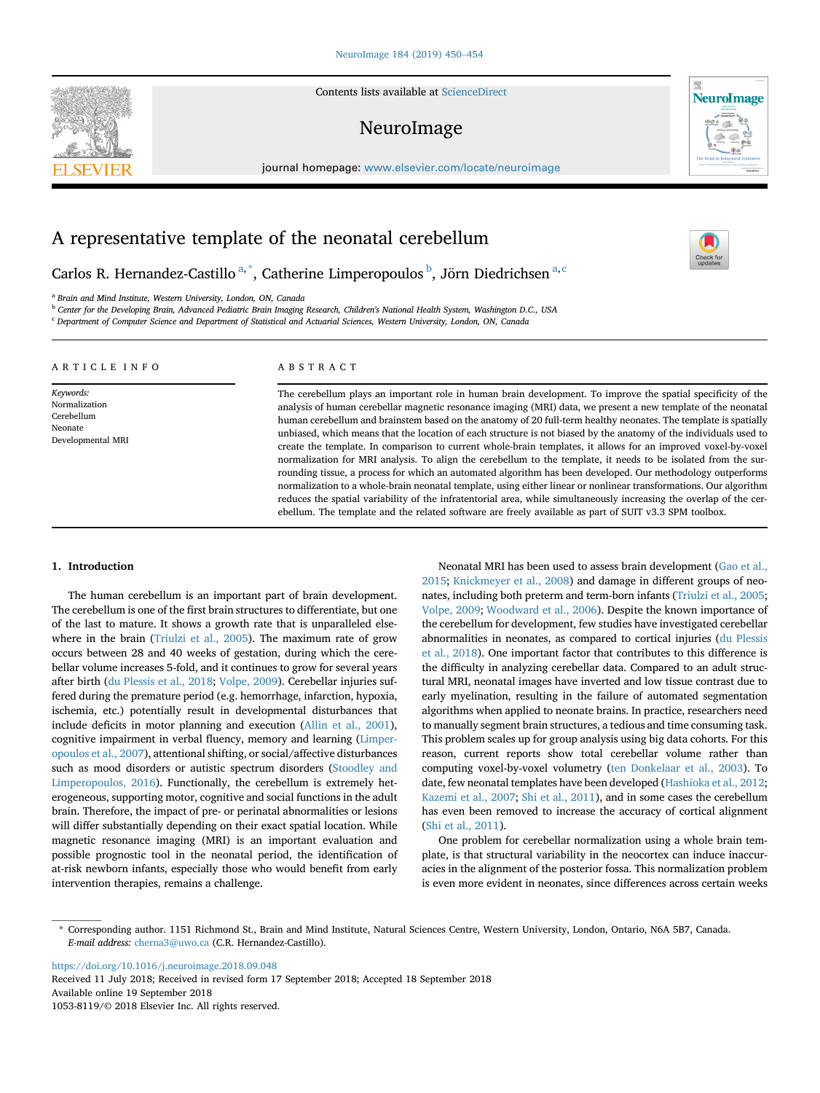Contents lists available at [ScienceDirect](www.sciencedirect.com/science/journal/10538119)

# NeuroImage

journal homepage: [www.elsevier.com/locate/neuroimage](http://www.elsevier.com/locate/neuroimage)

# A representative template of the neonatal cerebellum

Carlos R. Hernandez-Castillo<sup>a,\*</sup>, Catherine Limperopoulos<sup>b</sup>, Jörn Diedrichsen<sup>a,c</sup>

<sup>a</sup> Brain and Mind Institute, Western University, London, ON, Canada

<sup>b</sup> Center for the Developing Brain, Advanced Pediatric Brain Imaging Research, Children's National Health System, Washington D.C., USA

<sup>c</sup> Department of Computer Science and Department of Statistical and Actuarial Sciences, Western University, London, ON, Canada

| ARTICLE INFO                                                             | ABSTRACT                                                                                                                                                                                                                                                                                                                                                                                                                                                                                                                                                                                                                                                                                                                                                                                                                                                                                                                                                                                                                                                            |  |  |
|--------------------------------------------------------------------------|---------------------------------------------------------------------------------------------------------------------------------------------------------------------------------------------------------------------------------------------------------------------------------------------------------------------------------------------------------------------------------------------------------------------------------------------------------------------------------------------------------------------------------------------------------------------------------------------------------------------------------------------------------------------------------------------------------------------------------------------------------------------------------------------------------------------------------------------------------------------------------------------------------------------------------------------------------------------------------------------------------------------------------------------------------------------|--|--|
| Keywords:<br>Normalization<br>Cerebellum<br>Neonate<br>Developmental MRI | The cerebellum plays an important role in human brain development. To improve the spatial specificity of the<br>analysis of human cerebellar magnetic resonance imaging (MRI) data, we present a new template of the neonatal<br>human cerebellum and brainstem based on the anatomy of 20 full-term healthy neonates. The template is spatially<br>unbiased, which means that the location of each structure is not biased by the anatomy of the individuals used to<br>create the template. In comparison to current whole-brain templates, it allows for an improved voxel-by-voxel<br>normalization for MRI analysis. To align the cerebellum to the template, it needs to be isolated from the sur-<br>rounding tissue, a process for which an automated algorithm has been developed. Our methodology outperforms<br>normalization to a whole-brain neonatal template, using either linear or nonlinear transformations. Our algorithm<br>reduces the spatial variability of the infratentorial area, while simultaneously increasing the overlap of the cer- |  |  |

ebellum. The template and the related software are freely available as part of SUIT v3.3 SPM toolbox.

# 1. Introduction

The human cerebellum is an important part of brain development. The cerebellum is one of the first brain structures to differentiate, but one of the last to mature. It shows a growth rate that is unparalleled elsewhere in the brain [\(Triulzi et al., 2005](#page-4-0)). The maximum rate of grow occurs between 28 and 40 weeks of gestation, during which the cerebellar volume increases 5-fold, and it continues to grow for several years after birth ([du Plessis et al., 2018;](#page-4-0) [Volpe, 2009\)](#page-4-0). Cerebellar injuries suffered during the premature period (e.g. hemorrhage, infarction, hypoxia, ischemia, etc.) potentially result in developmental disturbances that include deficits in motor planning and execution [\(Allin et al., 2001\)](#page-4-0), cognitive impairment in verbal fluency, memory and learning ([Limper](#page-4-0)[opoulos et al., 2007\)](#page-4-0), attentional shifting, or social/affective disturbances such as mood disorders or autistic spectrum disorders ([Stoodley and](#page-4-0) [Limperopoulos, 2016](#page-4-0)). Functionally, the cerebellum is extremely heterogeneous, supporting motor, cognitive and social functions in the adult brain. Therefore, the impact of pre- or perinatal abnormalities or lesions will differ substantially depending on their exact spatial location. While magnetic resonance imaging (MRI) is an important evaluation and possible prognostic tool in the neonatal period, the identification of at-risk newborn infants, especially those who would benefit from early intervention therapies, remains a challenge.

Neonatal MRI has been used to assess brain development [\(Gao et al.,](#page-4-0) [2015;](#page-4-0) [Knickmeyer et al., 2008\)](#page-4-0) and damage in different groups of neonates, including both preterm and term-born infants ([Triulzi et al., 2005;](#page-4-0) [Volpe, 2009](#page-4-0); [Woodward et al., 2006\)](#page-4-0). Despite the known importance of the cerebellum for development, few studies have investigated cerebellar abnormalities in neonates, as compared to cortical injuries ([du Plessis](#page-4-0) [et al., 2018\)](#page-4-0). One important factor that contributes to this difference is the difficulty in analyzing cerebellar data. Compared to an adult structural MRI, neonatal images have inverted and low tissue contrast due to early myelination, resulting in the failure of automated segmentation algorithms when applied to neonate brains. In practice, researchers need to manually segment brain structures, a tedious and time consuming task. This problem scales up for group analysis using big data cohorts. For this reason, current reports show total cerebellar volume rather than computing voxel-by-voxel volumetry ([ten Donkelaar et al., 2003\)](#page-4-0). To date, few neonatal templates have been developed [\(Hashioka et al., 2012;](#page-4-0) [Kazemi et al., 2007;](#page-4-0) [Shi et al., 2011\)](#page-4-0), and in some cases the cerebellum has even been removed to increase the accuracy of cortical alignment ([Shi et al., 2011\)](#page-4-0).

One problem for cerebellar normalization using a whole brain template, is that structural variability in the neocortex can induce inaccuracies in the alignment of the posterior fossa. This normalization problem is even more evident in neonates, since differences across certain weeks

<https://doi.org/10.1016/j.neuroimage.2018.09.048>

Received 11 July 2018; Received in revised form 17 September 2018; Accepted 18 September 2018 Available online 19 September 2018 1053-8119/© 2018 Elsevier Inc. All rights reserved.







<sup>\*</sup> Corresponding author. 1151 Richmond St., Brain and Mind Institute, Natural Sciences Centre, Western University, London, Ontario, N6A 5B7, Canada. E-mail address: [cherna3@uwo.ca](mailto:cherna3@uwo.ca) (C.R. Hernandez-Castillo).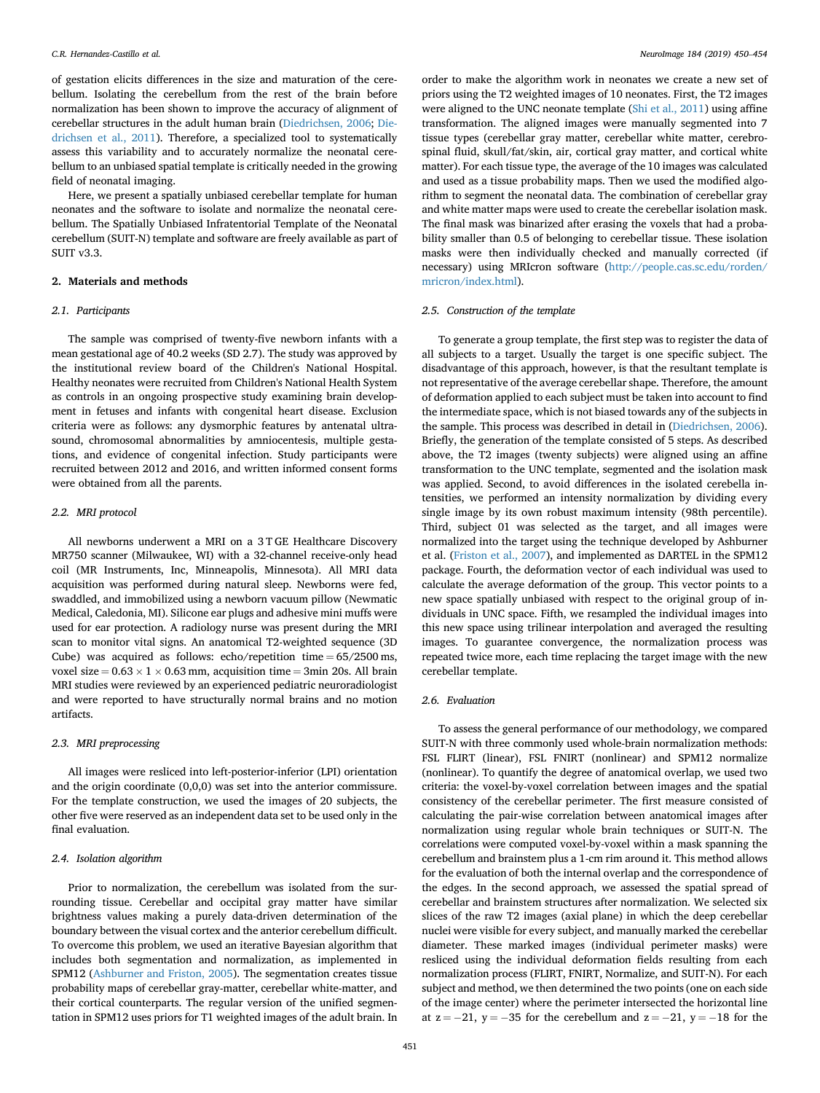of gestation elicits differences in the size and maturation of the cerebellum. Isolating the cerebellum from the rest of the brain before normalization has been shown to improve the accuracy of alignment of cerebellar structures in the adult human brain ([Diedrichsen, 2006;](#page-4-0) [Die](#page-4-0)[drichsen et al., 2011](#page-4-0)). Therefore, a specialized tool to systematically assess this variability and to accurately normalize the neonatal cerebellum to an unbiased spatial template is critically needed in the growing field of neonatal imaging.

Here, we present a spatially unbiased cerebellar template for human neonates and the software to isolate and normalize the neonatal cerebellum. The Spatially Unbiased Infratentorial Template of the Neonatal cerebellum (SUIT-N) template and software are freely available as part of SUIT v3.3.

# 2. Materials and methods

# 2.1. Participants

The sample was comprised of twenty-five newborn infants with a mean gestational age of 40.2 weeks (SD 2.7). The study was approved by the institutional review board of the Children's National Hospital. Healthy neonates were recruited from Children's National Health System as controls in an ongoing prospective study examining brain development in fetuses and infants with congenital heart disease. Exclusion criteria were as follows: any dysmorphic features by antenatal ultrasound, chromosomal abnormalities by amniocentesis, multiple gestations, and evidence of congenital infection. Study participants were recruited between 2012 and 2016, and written informed consent forms were obtained from all the parents.

## 2.2. MRI protocol

All newborns underwent a MRI on a 3 T GE Healthcare Discovery MR750 scanner (Milwaukee, WI) with a 32-channel receive-only head coil (MR Instruments, Inc, Minneapolis, Minnesota). All MRI data acquisition was performed during natural sleep. Newborns were fed, swaddled, and immobilized using a newborn vacuum pillow (Newmatic Medical, Caledonia, MI). Silicone ear plugs and adhesive mini muffs were used for ear protection. A radiology nurse was present during the MRI scan to monitor vital signs. An anatomical T2-weighted sequence (3D Cube) was acquired as follows: echo/repetition time  $= 65/2500$  ms, voxel size  $= 0.63 \times 1 \times 0.63$  mm, acquisition time  $= 3$ min 20s. All brain MRI studies were reviewed by an experienced pediatric neuroradiologist and were reported to have structurally normal brains and no motion artifacts.

# 2.3. MRI preprocessing

All images were resliced into left-posterior-inferior (LPI) orientation and the origin coordinate (0,0,0) was set into the anterior commissure. For the template construction, we used the images of 20 subjects, the other five were reserved as an independent data set to be used only in the final evaluation.

# 2.4. Isolation algorithm

Prior to normalization, the cerebellum was isolated from the surrounding tissue. Cerebellar and occipital gray matter have similar brightness values making a purely data-driven determination of the boundary between the visual cortex and the anterior cerebellum difficult. To overcome this problem, we used an iterative Bayesian algorithm that includes both segmentation and normalization, as implemented in SPM12 ([Ashburner and Friston, 2005](#page-4-0)). The segmentation creates tissue probability maps of cerebellar gray-matter, cerebellar white-matter, and their cortical counterparts. The regular version of the unified segmentation in SPM12 uses priors for T1 weighted images of the adult brain. In

order to make the algorithm work in neonates we create a new set of priors using the T2 weighted images of 10 neonates. First, the T2 images were aligned to the UNC neonate template ([Shi et al., 2011\)](#page-4-0) using affine transformation. The aligned images were manually segmented into 7 tissue types (cerebellar gray matter, cerebellar white matter, cerebrospinal fluid, skull/fat/skin, air, cortical gray matter, and cortical white matter). For each tissue type, the average of the 10 images was calculated and used as a tissue probability maps. Then we used the modified algorithm to segment the neonatal data. The combination of cerebellar gray and white matter maps were used to create the cerebellar isolation mask. The final mask was binarized after erasing the voxels that had a probability smaller than 0.5 of belonging to cerebellar tissue. These isolation masks were then individually checked and manually corrected (if necessary) using MRIcron software [\(http://people.cas.sc.edu/rorden/](http://people.cas.sc.edu/rorden/mricron/index.html) [mricron/index.html\)](http://people.cas.sc.edu/rorden/mricron/index.html).

# 2.5. Construction of the template

To generate a group template, the first step was to register the data of all subjects to a target. Usually the target is one specific subject. The disadvantage of this approach, however, is that the resultant template is not representative of the average cerebellar shape. Therefore, the amount of deformation applied to each subject must be taken into account to find the intermediate space, which is not biased towards any of the subjects in the sample. This process was described in detail in ([Diedrichsen, 2006\)](#page-4-0). Briefly, the generation of the template consisted of 5 steps. As described above, the T2 images (twenty subjects) were aligned using an affine transformation to the UNC template, segmented and the isolation mask was applied. Second, to avoid differences in the isolated cerebella intensities, we performed an intensity normalization by dividing every single image by its own robust maximum intensity (98th percentile). Third, subject 01 was selected as the target, and all images were normalized into the target using the technique developed by Ashburner et al. ([Friston et al., 2007\)](#page-4-0), and implemented as DARTEL in the SPM12 package. Fourth, the deformation vector of each individual was used to calculate the average deformation of the group. This vector points to a new space spatially unbiased with respect to the original group of individuals in UNC space. Fifth, we resampled the individual images into this new space using trilinear interpolation and averaged the resulting images. To guarantee convergence, the normalization process was repeated twice more, each time replacing the target image with the new cerebellar template.

# 2.6. Evaluation

To assess the general performance of our methodology, we compared SUIT-N with three commonly used whole-brain normalization methods: FSL FLIRT (linear), FSL FNIRT (nonlinear) and SPM12 normalize (nonlinear). To quantify the degree of anatomical overlap, we used two criteria: the voxel-by-voxel correlation between images and the spatial consistency of the cerebellar perimeter. The first measure consisted of calculating the pair-wise correlation between anatomical images after normalization using regular whole brain techniques or SUIT-N. The correlations were computed voxel-by-voxel within a mask spanning the cerebellum and brainstem plus a 1-cm rim around it. This method allows for the evaluation of both the internal overlap and the correspondence of the edges. In the second approach, we assessed the spatial spread of cerebellar and brainstem structures after normalization. We selected six slices of the raw T2 images (axial plane) in which the deep cerebellar nuclei were visible for every subject, and manually marked the cerebellar diameter. These marked images (individual perimeter masks) were resliced using the individual deformation fields resulting from each normalization process (FLIRT, FNIRT, Normalize, and SUIT-N). For each subject and method, we then determined the two points (one on each side of the image center) where the perimeter intersected the horizontal line at  $z = -21$ ,  $y = -35$  for the cerebellum and  $z = -21$ ,  $y = -18$  for the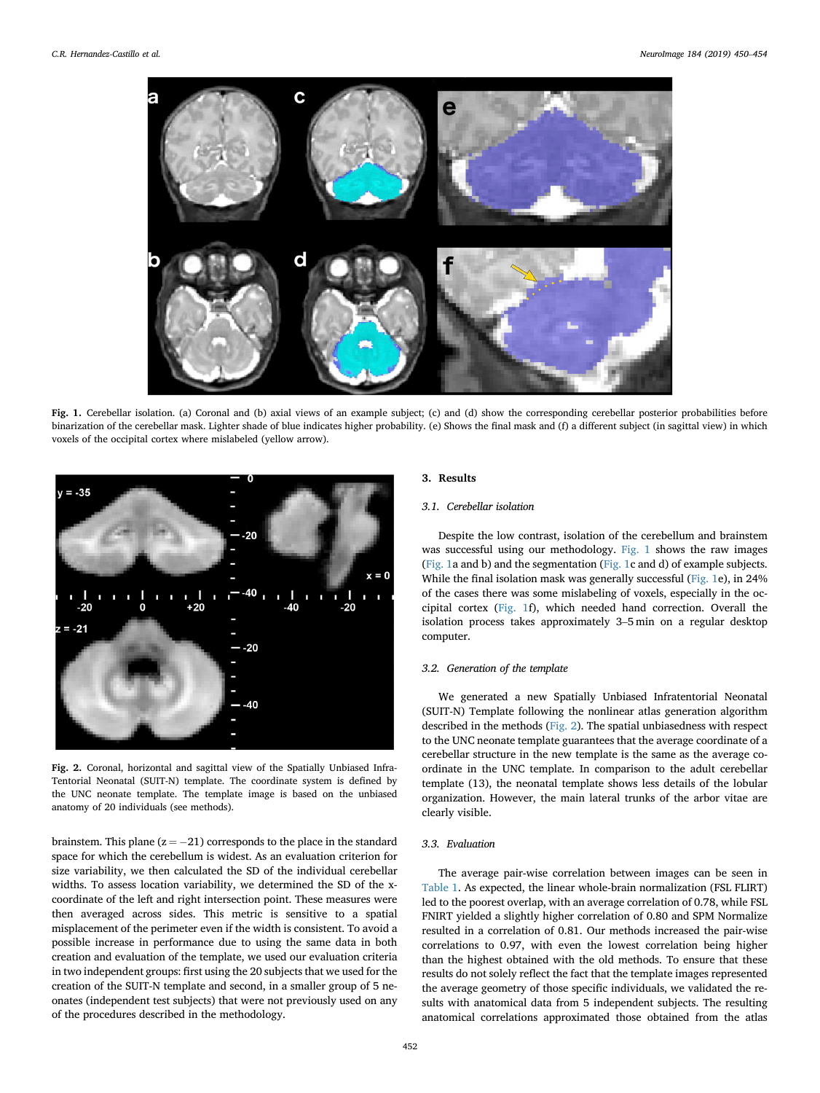

Fig. 1. Cerebellar isolation. (a) Coronal and (b) axial views of an example subject; (c) and (d) show the corresponding cerebellar posterior probabilities before binarization of the cerebellar mask. Lighter shade of blue indicates higher probability. (e) Shows the final mask and (f) a different subject (in sagittal view) in which voxels of the occipital cortex where mislabeled (yellow arrow).



Fig. 2. Coronal, horizontal and sagittal view of the Spatially Unbiased Infra-Tentorial Neonatal (SUIT-N) template. The coordinate system is defined by the UNC neonate template. The template image is based on the unbiased anatomy of 20 individuals (see methods).

brainstem. This plane  $(z = -21)$  corresponds to the place in the standard space for which the cerebellum is widest. As an evaluation criterion for size variability, we then calculated the SD of the individual cerebellar widths. To assess location variability, we determined the SD of the xcoordinate of the left and right intersection point. These measures were then averaged across sides. This metric is sensitive to a spatial misplacement of the perimeter even if the width is consistent. To avoid a possible increase in performance due to using the same data in both creation and evaluation of the template, we used our evaluation criteria in two independent groups: first using the 20 subjects that we used for the creation of the SUIT-N template and second, in a smaller group of 5 neonates (independent test subjects) that were not previously used on any of the procedures described in the methodology.

# 3. Results

# 3.1. Cerebellar isolation

Despite the low contrast, isolation of the cerebellum and brainstem was successful using our methodology. Fig. 1 shows the raw images (Fig. 1a and b) and the segmentation (Fig. 1c and d) of example subjects. While the final isolation mask was generally successful (Fig. 1e), in 24% of the cases there was some mislabeling of voxels, especially in the occipital cortex (Fig. 1f), which needed hand correction. Overall the isolation of the cases there was some mislabeling of voxels, especially in the occipital cortex (Fig. 1f), which needed hand correction. Overall the computer.

# 3.2. Generation of the template

We generated a new Spatially Unbiased Infratentorial Neonatal (SUIT-N) Template following the nonlinear atlas generation algorithm described in the methods (Fig. 2). The spatial unbiasedness with respect to the UNC neonate template guarantees that the average coordinate of a cerebellar structure in the new template is the same as the average coordinate in the UNC template. In comparison to the adult cerebellar template (13), the neonatal template shows less details of the lobular organization. However, the main lateral trunks of the arbor vitae are clearly visible.

# 3.3. Evaluation

The average pair-wise correlation between images can be seen in [Table 1.](#page-3-0) As expected, the linear whole-brain normalization (FSL FLIRT) led to the poorest overlap, with an average correlation of 0.78, while FSL FNIRT yielded a slightly higher correlation of 0.80 and SPM Normalize resulted in a correlation of 0.81. Our methods increased the pair-wise correlations to 0.97, with even the lowest correlation being higher than the highest obtained with the old methods. To ensure that these results do not solely reflect the fact that the template images represented the average geometry of those specific individuals, we validated the results with anatomical data from 5 independent subjects. The resulting anatomical correlations approximated those obtained from the atlas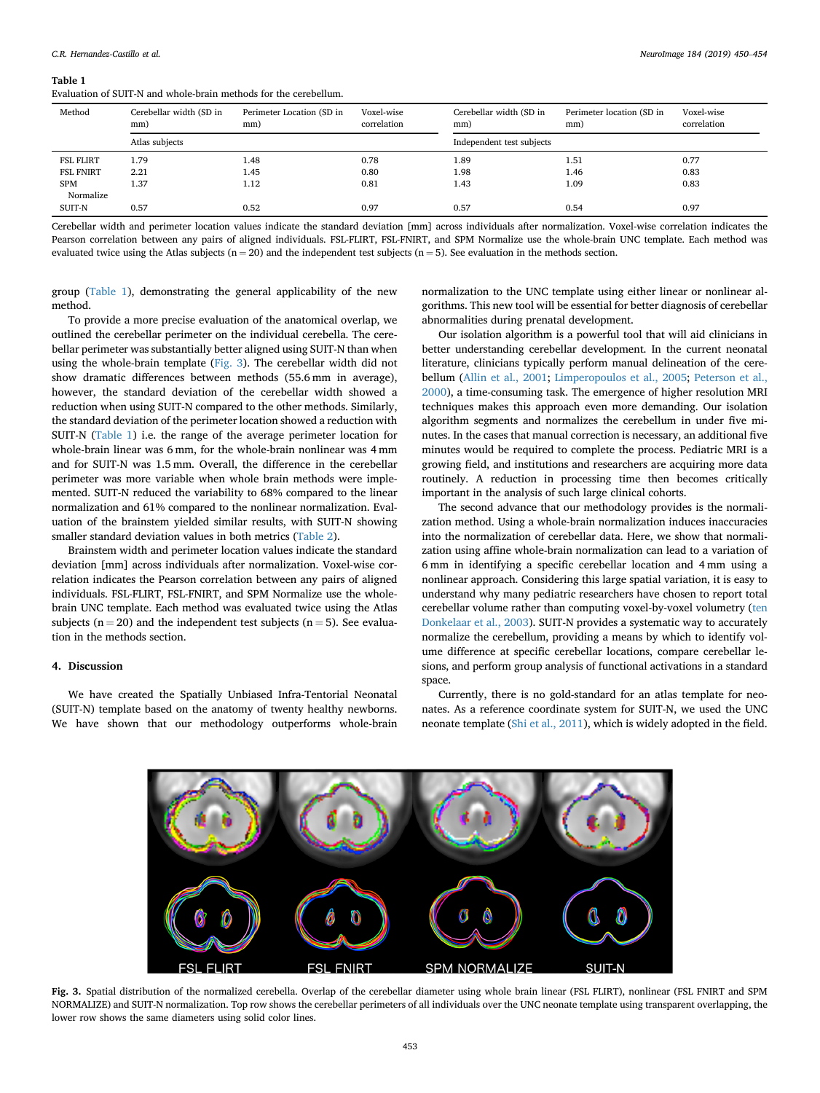### <span id="page-3-0"></span>Table 1

Evaluation of SUIT-N and whole-brain methods for the cerebellum.

| Method           | Cerebellar width (SD in<br>mm) | Perimeter Location (SD in<br>mm) | Voxel-wise<br>correlation | Cerebellar width (SD in<br>mm) | Perimeter location (SD in<br>mm) | Voxel-wise<br>correlation |
|------------------|--------------------------------|----------------------------------|---------------------------|--------------------------------|----------------------------------|---------------------------|
|                  | Atlas subjects                 |                                  |                           | Independent test subjects      |                                  |                           |
| <b>FSL FLIRT</b> | 1.79                           | 1.48                             | 0.78                      | 1.89                           | 1.51                             | 0.77                      |
| <b>FSL FNIRT</b> | 2.21                           | 1.45                             | 0.80                      | 1.98                           | 1.46                             | 0.83                      |
| <b>SPM</b>       | 1.37                           | 1.12                             | 0.81                      | 1.43                           | 1.09                             | 0.83                      |
| Normalize        |                                |                                  |                           |                                |                                  |                           |
| SUIT-N           | 0.57                           | 0.52                             | 0.97                      | 0.57                           | 0.54                             | 0.97                      |

Cerebellar width and perimeter location values indicate the standard deviation [mm] across individuals after normalization. Voxel-wise correlation indicates the Pearson correlation between any pairs of aligned individuals. FSL-FLIRT, FSL-FNIRT, and SPM Normalize use the whole-brain UNC template. Each method was evaluated twice using the Atlas subjects ( $n = 20$ ) and the independent test subjects ( $n = 5$ ). See evaluation in the methods section.

group (Table 1), demonstrating the general applicability of the new method.

To provide a more precise evaluation of the anatomical overlap, we outlined the cerebellar perimeter on the individual cerebella. The cerebellar perimeter was substantially better aligned using SUIT-N than when using the whole-brain template (Fig. 3). The cerebellar width did not show dramatic differences between methods (55.6 mm in average), however, the standard deviation of the cerebellar width showed a reduction when using SUIT-N compared to the other methods. Similarly, the standard deviation of the perimeter location showed a reduction with SUIT-N (Table 1) i.e. the range of the average perimeter location for whole-brain linear was 6 mm, for the whole-brain nonlinear was 4 mm and for SUIT-N was 1.5 mm. Overall, the difference in the cerebellar perimeter was more variable when whole brain methods were implemented. SUIT-N reduced the variability to 68% compared to the linear normalization and 61% compared to the nonlinear normalization. Evaluation of the brainstem yielded similar results, with SUIT-N showing smaller standard deviation values in both metrics ([Table 2](#page-4-0)).

Brainstem width and perimeter location values indicate the standard deviation [mm] across individuals after normalization. Voxel-wise correlation indicates the Pearson correlation between any pairs of aligned individuals. FSL-FLIRT, FSL-FNIRT, and SPM Normalize use the wholebrain UNC template. Each method was evaluated twice using the Atlas subjects ( $n = 20$ ) and the independent test subjects ( $n = 5$ ). See evaluation in the methods section.

# 4. Discussion

We have created the Spatially Unbiased Infra-Tentorial Neonatal (SUIT-N) template based on the anatomy of twenty healthy newborns. We have shown that our methodology outperforms whole-brain

normalization to the UNC template using either linear or nonlinear algorithms. This new tool will be essential for better diagnosis of cerebellar abnormalities during prenatal development.

Our isolation algorithm is a powerful tool that will aid clinicians in better understanding cerebellar development. In the current neonatal literature, clinicians typically perform manual delineation of the cerebellum ([Allin et al., 2001;](#page-4-0) [Limperopoulos et al., 2005](#page-4-0); [Peterson et al.,](#page-4-0) [2000\)](#page-4-0), a time-consuming task. The emergence of higher resolution MRI techniques makes this approach even more demanding. Our isolation algorithm segments and normalizes the cerebellum in under five minutes. In the cases that manual correction is necessary, an additional five minutes would be required to complete the process. Pediatric MRI is a growing field, and institutions and researchers are acquiring more data routinely. A reduction in processing time then becomes critically important in the analysis of such large clinical cohorts.

The second advance that our methodology provides is the normalization method. Using a whole-brain normalization induces inaccuracies into the normalization of cerebellar data. Here, we show that normalization using affine whole-brain normalization can lead to a variation of 6 mm in identifying a specific cerebellar location and 4 mm using a nonlinear approach. Considering this large spatial variation, it is easy to understand why many pediatric researchers have chosen to report total cerebellar volume rather than computing voxel-by-voxel volumetry ([ten](#page-4-0) [Donkelaar et al., 2003](#page-4-0)). SUIT-N provides a systematic way to accurately normalize the cerebellum, providing a means by which to identify volume difference at specific cerebellar locations, compare cerebellar lesions, and perform group analysis of functional activations in a standard space.

Currently, there is no gold-standard for an atlas template for neonates. As a reference coordinate system for SUIT-N, we used the UNC neonate template ([Shi et al., 2011](#page-4-0)), which is widely adopted in the field.



Fig. 3. Spatial distribution of the normalized cerebella. Overlap of the cerebellar diameter using whole brain linear (FSL FLIRT), nonlinear (FSL FNIRT and SPM NORMALIZE) and SUIT-N normalization. Top row shows the cerebellar perimeters of all individuals over the UNC neonate template using transparent overlapping, the lower row shows the same diameters using solid color lines.